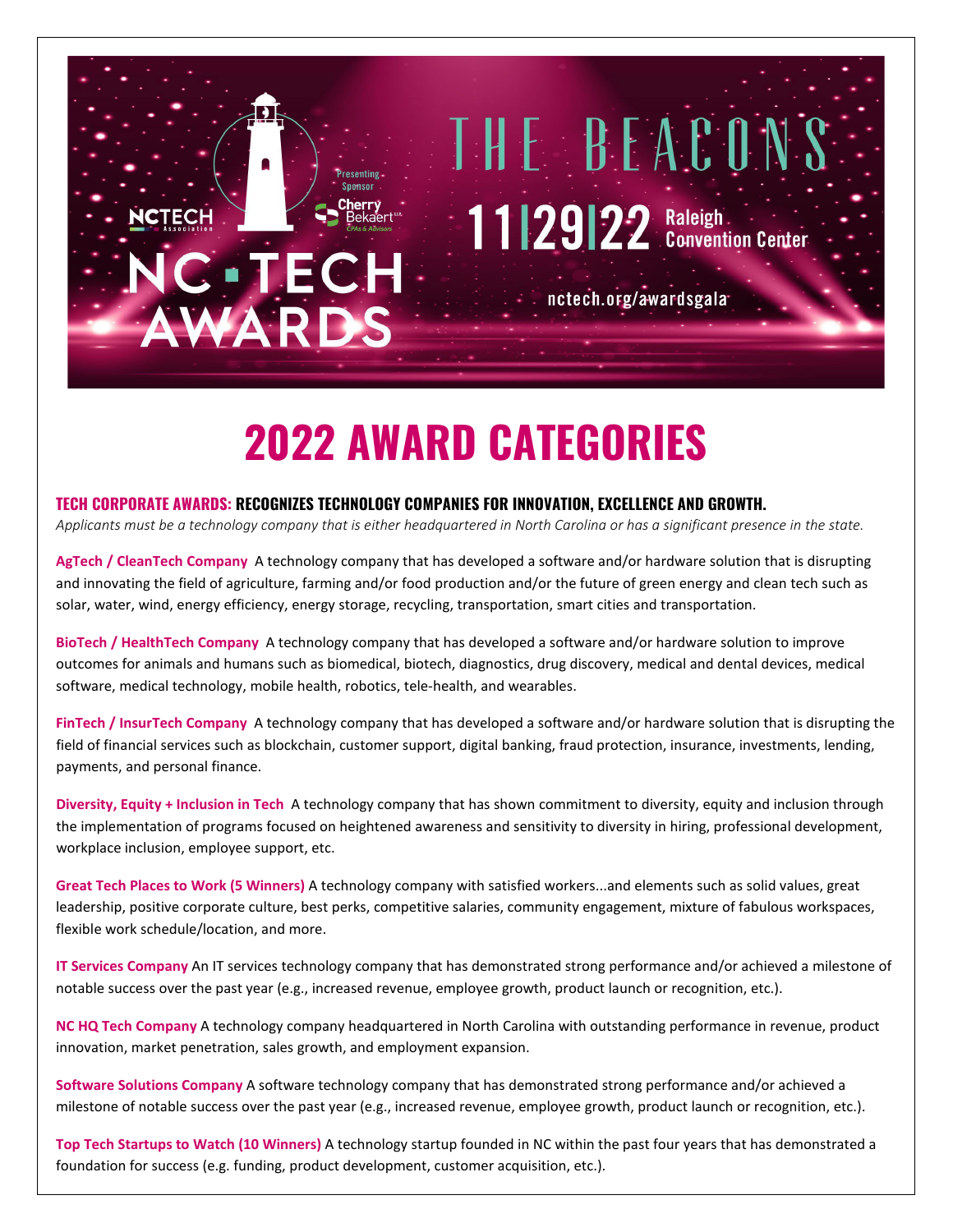## **2022 AWARD CATEGORIES**

THE BEACONS

 $11129122$  Raleigh

nctech.org/awardsgala

## **TECH CORPORATE AWARDS: RECOGNIZES TECHNOLOGY COMPANIES FOR INNOVATION, EXCELLENCE AND GROWTH.**

resenting

NCTECH

NC TEC

**AWARDS** 

*Applicants must be a technology company that is either headquartered in North Carolina or has a significant presence in the state.*

**AgTech / CleanTech Company** A technology company that has developed a software and/or hardware solution that is disrupting and innovating the field of agriculture, farming and/or food production and/or the future of green energy and clean tech such as solar, water, wind, energy efficiency, energy storage, recycling, transportation, smart cities and transportation.

**BioTech / HealthTech Company** A technology company that has developed a software and/or hardware solution to improve outcomes for animals and humans such as biomedical, biotech, diagnostics, drug discovery, medical and dental devices, medical software, medical technology, mobile health, robotics, tele-health, and wearables.

**FinTech / InsurTech Company** A technology company that has developed a software and/or hardware solution that is disrupting the field of financial services such as blockchain, customer support, digital banking, fraud protection, insurance, investments, lending, payments, and personal finance.

**Diversity, Equity + Inclusion in Tech** A technology company that has shown commitment to diversity, equity and inclusion through the implementation of programs focused on heightened awareness and sensitivity to diversity in hiring, professional development, workplace inclusion, employee support, etc.

**Great Tech Places to Work (5 Winners)** A technology company with satisfied workers...and elements such as solid values, great leadership, positive corporate culture, best perks, competitive salaries, community engagement, mixture of fabulous workspaces, flexible work schedule/location, and more.

**IT Services Company** An IT services technology company that has demonstrated strong performance and/or achieved a milestone of notable success over the past year (e.g., increased revenue, employee growth, product launch or recognition, etc.).

**NC HQ Tech Company** A technology company headquartered in North Carolina with outstanding performance in revenue, product innovation, market penetration, sales growth, and employment expansion.

**Software Solutions Company** A software technology company that has demonstrated strong performance and/or achieved a milestone of notable success over the past year (e.g., increased revenue, employee growth, product launch or recognition, etc.).

**Top Tech Startups to Watch (10 Winners)** A technology startup founded in NC within the past four years that has demonstrated a foundation for success (e.g. funding, product development, customer acquisition, etc.).